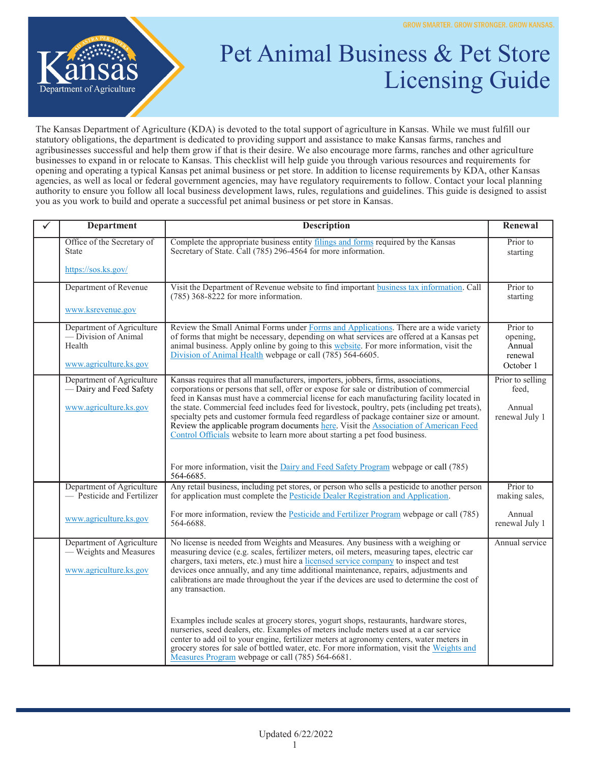

## Pet Animal Business & Pet Store Licensing Guide

The Kansas Department of Agriculture (KDA) is devoted to the total support of agriculture in Kansas. While we must fulfill our statutory obligations, the department is dedicated to providing support and assistance to make Kansas farms, ranches and agribusinesses successful and help them grow if that is their desire. We also encourage more farms, ranches and other agriculture businesses to expand in or relocate to Kansas. This checklist will help guide you through various resources and requirements for opening and operating a typical Kansas pet animal business or pet store. In addition to license requirements by KDA, other Kansas agencies, as well as local or federal government agencies, may have regulatory requirements to follow. Contact your local planning authority to ensure you follow all local business development laws, rules, regulations and guidelines. This guide is designed to assist you as you work to build and operate a successful pet animal business or pet store in Kansas.

| <b>Department</b>                                                                     | <b>Description</b>                                                                                                                                                                                                                                                                                                                                                                                                                                                                                                                                                                                                                            | Renewal                                                |
|---------------------------------------------------------------------------------------|-----------------------------------------------------------------------------------------------------------------------------------------------------------------------------------------------------------------------------------------------------------------------------------------------------------------------------------------------------------------------------------------------------------------------------------------------------------------------------------------------------------------------------------------------------------------------------------------------------------------------------------------------|--------------------------------------------------------|
| Office of the Secretary of<br><b>State</b>                                            | Complete the appropriate business entity filings and forms required by the Kansas<br>Secretary of State. Call (785) 296-4564 for more information.                                                                                                                                                                                                                                                                                                                                                                                                                                                                                            | Prior to<br>starting                                   |
| https://sos.ks.gov/                                                                   |                                                                                                                                                                                                                                                                                                                                                                                                                                                                                                                                                                                                                                               |                                                        |
| Department of Revenue                                                                 | Visit the Department of Revenue website to find important business tax information. Call<br>$(785)$ 368-8222 for more information.                                                                                                                                                                                                                                                                                                                                                                                                                                                                                                            | Prior to<br>starting                                   |
| www.ksrevenue.gov                                                                     |                                                                                                                                                                                                                                                                                                                                                                                                                                                                                                                                                                                                                                               |                                                        |
| Department of Agriculture<br>— Division of Animal<br>Health<br>www.agriculture.ks.gov | Review the Small Animal Forms under Forms and Applications. There are a wide variety<br>of forms that might be necessary, depending on what services are offered at a Kansas pet<br>animal business. Apply online by going to this website. For more information, visit the<br>Division of Animal Health webpage or call (785) 564-6605.                                                                                                                                                                                                                                                                                                      | Prior to<br>opening,<br>Annual<br>renewal<br>October 1 |
| Department of Agriculture<br>- Dairy and Feed Safety<br>www.agriculture.ks.gov        | Kansas requires that all manufacturers, importers, jobbers, firms, associations,<br>corporations or persons that sell, offer or expose for sale or distribution of commercial<br>feed in Kansas must have a commercial license for each manufacturing facility located in<br>the state. Commercial feed includes feed for livestock, poultry, pets (including pet treats),<br>specialty pets and customer formula feed regardless of package container size or amount.<br>Review the applicable program documents here. Visit the Association of American Feed<br>Control Officials website to learn more about starting a pet food business. | Prior to selling<br>feed,<br>Annual<br>renewal July 1  |
|                                                                                       | For more information, visit the Dairy and Feed Safety Program webpage or call (785)<br>564-6685.                                                                                                                                                                                                                                                                                                                                                                                                                                                                                                                                              |                                                        |
| Department of Agriculture<br>- Pesticide and Fertilizer                               | Any retail business, including pet stores, or person who sells a pesticide to another person<br>for application must complete the Pesticide Dealer Registration and Application.                                                                                                                                                                                                                                                                                                                                                                                                                                                              | Prior to<br>making sales,                              |
| www.agriculture.ks.gov                                                                | For more information, review the Pesticide and Fertilizer Program webpage or call (785)<br>564-6688.                                                                                                                                                                                                                                                                                                                                                                                                                                                                                                                                          | Annual<br>renewal July 1                               |
| Department of Agriculture<br>- Weights and Measures<br>www.agriculture.ks.gov         | No license is needed from Weights and Measures. Any business with a weighing or<br>measuring device (e.g. scales, fertilizer meters, oil meters, measuring tapes, electric car<br>chargers, taxi meters, etc.) must hire a licensed service company to inspect and test<br>devices once annually, and any time additional maintenance, repairs, adjustments and<br>calibrations are made throughout the year if the devices are used to determine the cost of<br>any transaction.                                                                                                                                                             | Annual service                                         |
|                                                                                       | Examples include scales at grocery stores, yogurt shops, restaurants, hardware stores,<br>nurseries, seed dealers, etc. Examples of meters include meters used at a car service<br>center to add oil to your engine, fertilizer meters at agronomy centers, water meters in<br>grocery stores for sale of bottled water, etc. For more information, visit the Weights and<br>Measures Program webpage or call (785) 564-6681.                                                                                                                                                                                                                 |                                                        |